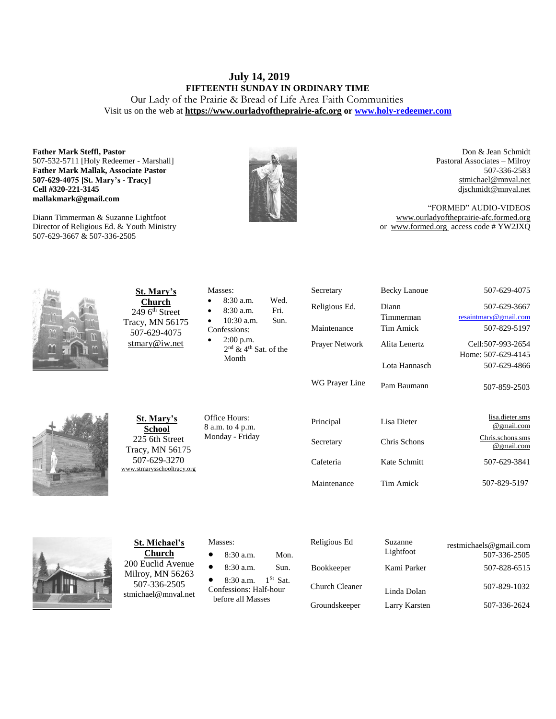# **July 14, 2019 FIFTEENTH SUNDAY IN ORDINARY TIME**

Our Lady of the Prairie & Bread of Life Area Faith Communities Visit us on the web at **https:/[/www.ourladyoftheprairie-afc.org](http://www.ourladyoftheprairie-afc.org/) o[r www.holy-redeemer.com](http://www.holy-redeemer.com/)**

#### **Father Mark Steffl, Pastor** 507-532-5711 [Holy Redeemer - Marshall] **Father Mark Mallak, Associate Pastor 507-629-4075 [St. Mary's - Tracy] Cell #320-221-3145 mallakmark@gmail.com**

Diann Timmerman & Suzanne Lightfoot Director of Religious Ed. & Youth Ministry 507-629-3667 & 507-336-2505



Wed. Fri. Sun.

of the

Don & Jean Schmidt Pastoral Associates – Milroy 507-336-2583 [stmichael@mnval.net](mailto:stmichael@means.net) [djschmidt@mnval.net](mailto:djschmidt@mnval.net)

507-629-3667

507-629-4866

507-859-2503

"FORMED" AUDIO-VIDEOS [www.ourladyoftheprairie-afc.formed.org](http://www.ourladyoftheprairie-afc.formed.org/) or www.formed.org access code # YW2JXQ



**St. Mary's Church** 249 6<sup>th</sup> Street Tracy, MN 56175 507-629-4075 [stmary@iw.net](mailto:stmary@iw.net)

| റ. റ. <i>u</i> a.m.          |
|------------------------------|
| 8:30 a.m.                    |
| $10:30$ a.m.                 |
| Confessions:                 |
| $2:00$ p.m.                  |
| $2nd$ & 4 <sup>th</sup> Sat. |
| Month                        |
|                              |

Masses:

Secretary Becky Lanoue 507-629-4075 Religious Ed. Diann Timmerman [resaintmary@gmail.com](mailto:resaintmary@gmail.com) Maintenance Tim Amick 507-829-5197 Prayer Network WG Prayer Line Alita Lenertz Lota Hannasch Pam Baumann Cell:507-993-2654 Home: 507-629-4145

**St. Mary's School** 225 6th Street Tracy, MN 56175 507-629-3270 [www.stmarysschooltracy.org](http://www.stmarysschooltracy.org/) Office Hours: 8 a.m. to 4 p.m. Monday - Friday

| Principal   | Lisa Dieter  | lisa.dieter.sms<br>@gmail.com  |
|-------------|--------------|--------------------------------|
| Secretary   | Chris Schons | Chris.schons.sms<br>@gmail.com |
| Cafeteria   | Kate Schmitt | 507-629-3841                   |
| Maintenance | Tim Amick    | 507-829-5197                   |



**St. Michael's Church** 200 Euclid Avenue Milroy, MN 56263 507-336-2505 [stmichael@mnval.net](mailto:stmichael@mnval.net)

#### Masses:

- 8:30 a.m. Mon.
- 8:30 a.m. Sun.

• 8:30 a.m.  $1^{St}$  Sat. Confessions: Half-hour before all Masses

| Religious Ed      | Suzanne<br>Lightfoot | restmichaels@gmail.com<br>507-336-2505 |
|-------------------|----------------------|----------------------------------------|
| <b>Bookkeeper</b> | Kami Parker          | 507-828-6515                           |
| Church Cleaner    | Linda Dolan          | 507-829-1032                           |
| Groundskeeper     | Larry Karsten        | 507-336-2624                           |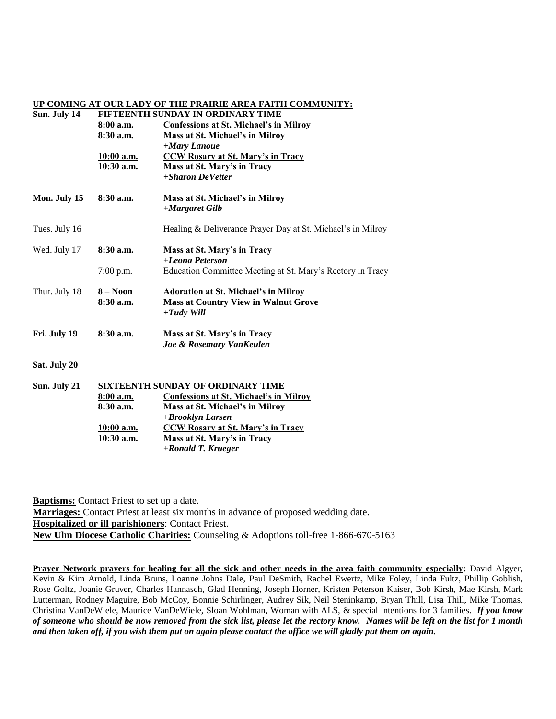## **UP COMING AT OUR LADY OF THE PRAIRIE AREA FAITH COMMUNITY:**

| Sun. July 14  | FIFTEENTH SUNDAY IN ORDINARY TIME |                                                             |  |  |
|---------------|-----------------------------------|-------------------------------------------------------------|--|--|
|               | 8:00 a.m.                         | <b>Confessions at St. Michael's in Milroy</b>               |  |  |
|               | $8:30$ a.m.                       | Mass at St. Michael's in Milroy                             |  |  |
|               |                                   | +Mary Lanoue                                                |  |  |
|               | <u>10:00 a.m.</u>                 | <b>CCW Rosary at St. Mary's in Tracy</b>                    |  |  |
|               | $10:30$ a.m.                      | Mass at St. Mary's in Tracy                                 |  |  |
|               |                                   | +Sharon DeVetter                                            |  |  |
| Mon. July 15  | $8:30$ a.m.                       | Mass at St. Michael's in Milroy                             |  |  |
|               |                                   | +Margaret Gilb                                              |  |  |
| Tues. July 16 |                                   | Healing & Deliverance Prayer Day at St. Michael's in Milroy |  |  |
| Wed. July 17  | $8:30$ a.m.                       | Mass at St. Mary's in Tracy                                 |  |  |
|               |                                   | +Leona Peterson                                             |  |  |
|               | $7:00$ p.m.                       | Education Committee Meeting at St. Mary's Rectory in Tracy  |  |  |
| Thur. July 18 | $8 - N00n$                        | <b>Adoration at St. Michael's in Milroy</b>                 |  |  |
|               | $8:30$ a.m.                       | <b>Mass at Country View in Walnut Grove</b>                 |  |  |
|               |                                   | $+ T u d v$ Will                                            |  |  |
| Fri. July 19  | 8:30a.m.                          | Mass at St. Mary's in Tracy                                 |  |  |
|               |                                   | Joe & Rosemary VanKeulen                                    |  |  |
| Sat. July 20  |                                   |                                                             |  |  |
| Sun. July 21  | SIXTEENTH SUNDAY OF ORDINARY TIME |                                                             |  |  |
|               | 8:00 a.m.                         | <b>Confessions at St. Michael's in Milroy</b>               |  |  |
|               | 8:30 a.m.                         | Mass at St. Michael's in Milroy                             |  |  |
|               |                                   | +Brooklyn Larsen                                            |  |  |
|               | <u>10:00 a.m.</u>                 | <b>CCW Rosary at St. Mary's in Tracy</b>                    |  |  |
|               | $10:30$ a.m.                      | Mass at St. Mary's in Tracy                                 |  |  |
|               |                                   | +Ronald T. Krueger                                          |  |  |

**Baptisms:** Contact Priest to set up a date. **Marriages:** Contact Priest at least six months in advance of proposed wedding date. **Hospitalized or ill parishioners**: Contact Priest. **New Ulm Diocese Catholic Charities:** Counseling & Adoptions toll-free 1-866-670-5163

**Prayer Network prayers for healing for all the sick and other needs in the area faith community especially:** David Algyer, Kevin & Kim Arnold, Linda Bruns, Loanne Johns Dale, Paul DeSmith, Rachel Ewertz, Mike Foley, Linda Fultz, Phillip Goblish, Rose Goltz, Joanie Gruver, Charles Hannasch, Glad Henning, Joseph Horner, Kristen Peterson Kaiser, Bob Kirsh, Mae Kirsh, Mark Lutterman, Rodney Maguire, Bob McCoy, Bonnie Schirlinger, Audrey Sik, Neil Steninkamp, Bryan Thill, Lisa Thill, Mike Thomas, Christina VanDeWiele, Maurice VanDeWiele, Sloan Wohlman, Woman with ALS, & special intentions for 3 families. *If you know of someone who should be now removed from the sick list, please let the rectory know. Names will be left on the list for 1 month and then taken off, if you wish them put on again please contact the office we will gladly put them on again.*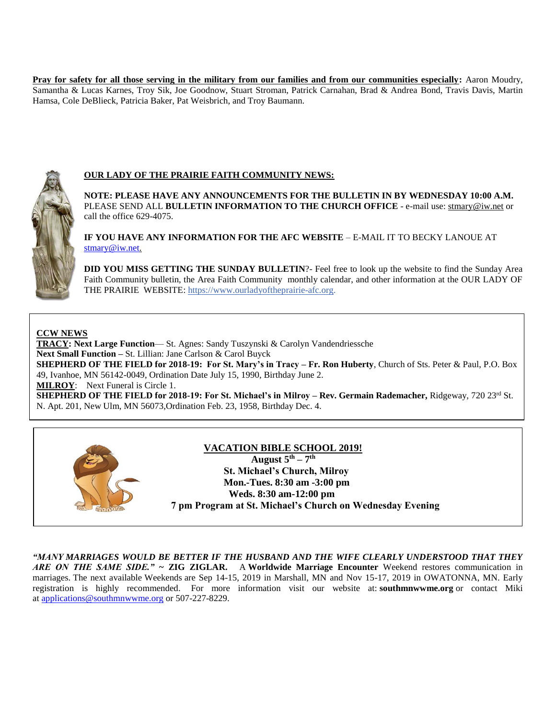**Pray for safety for all those serving in the military from our families and from our communities especially:** Aaron Moudry, Samantha & Lucas Karnes, Troy Sik, Joe Goodnow, Stuart Stroman, Patrick Carnahan, Brad & Andrea Bond, Travis Davis, Martin Hamsa, Cole DeBlieck, Patricia Baker, Pat Weisbrich, and Troy Baumann.



# **OUR LADY OF THE PRAIRIE FAITH COMMUNITY NEWS:**

**NOTE: PLEASE HAVE ANY ANNOUNCEMENTS FOR THE BULLETIN IN BY WEDNESDAY 10:00 A.M.** PLEASE SEND ALL **BULLETIN INFORMATION TO THE CHURCH OFFICE** - e-mail use[: stmary@iw.net](mailto:stmary@iw.net) or call the office 629-4075.

**IF YOU HAVE ANY INFORMATION FOR THE AFC WEBSITE** – E-MAIL IT TO BECKY LANOUE AT [stmary@iw.net.](mailto:stmary@iw.net)

**DID YOU MISS GETTING THE SUNDAY BULLETIN**?- Feel free to look up the website to find the Sunday Area Faith Community bulletin, the Area Faith Community monthly calendar, and other information at the OUR LADY OF THE PRAIRIE WEBSITE: https:/[/www.ourladyoftheprairie-afc.org.](http://www.ourladyoftheprairie-afc.org/)

#### **CCW NEWS**

**TRACY: Next Large Function**— St. Agnes: Sandy Tuszynski & Carolyn Vandendriessche **Next Small Function –** St. Lillian: Jane Carlson & Carol Buyck **SHEPHERD OF THE FIELD for 2018-19: For St. Mary's in Tracy – Fr. Ron Huberty**, Church of Sts. Peter & Paul, P.O. Box 49, Ivanhoe, MN 56142-0049, Ordination Date July 15, 1990, Birthday June 2. **MILROY**: Next Funeral is Circle 1. **SHEPHERD OF THE FIELD for 2018-19: For St. Michael's in Milroy – Rev. Germain Rademacher,** Ridgeway, 720 23rd St. N. Apt. 201, New Ulm, MN 56073,Ordination Feb. 23, 1958, Birthday Dec. 4.



### **VACATION BIBLE SCHOOL 2019!**

 **August 5th – 7 th St. Michael's Church, Milroy Mon.-Tues. 8:30 am -3:00 pm Weds. 8:30 am-12:00 pm 7 pm Program at St. Michael's Church on Wednesday Evening**

*"MANY MARRIAGES WOULD BE BETTER IF THE HUSBAND AND THE WIFE CLEARLY UNDERSTOOD THAT THEY ARE ON THE SAME SIDE."* **~ ZIG ZIGLAR.** A **Worldwide Marriage Encounter** Weekend restores communication in marriages. The next available Weekends are Sep 14-15, 2019 in Marshall, MN and Nov 15-17, 2019 in OWATONNA, MN. Early registration is highly recommended. For more information visit our website at: **southmnwwme.org** or contact Miki at [applications@southmnwwme.org](mailto:wmandbethnickles@hotmail.com) or 507-227-8229.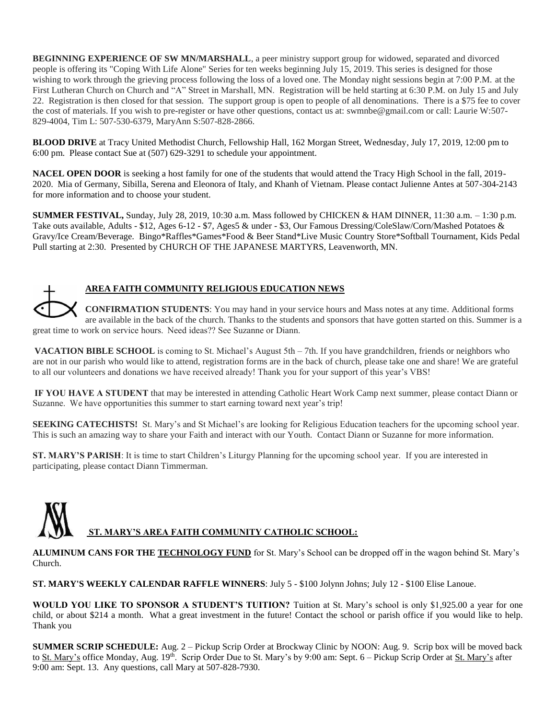**BEGINNING EXPERIENCE OF SW MN/MARSHALL**, a peer ministry support group for widowed, separated and divorced people is offering its "Coping With Life Alone" Series for ten weeks beginning July 15, 2019. This series is designed for those wishing to work through the grieving process following the loss of a loved one. The Monday night sessions begin at 7:00 P.M. at the First Lutheran Church on Church and "A" Street in Marshall, MN. Registration will be held starting at 6:30 P.M. on July 15 and July 22. Registration is then closed for that session. The support group is open to people of all denominations. There is a \$75 fee to cover the cost of materials. If you wish to pre-register or have other questions, contact us at: swmnbe@gmail.com or call: Laurie W:507- 829-4004, Tim L: 507-530-6379, MaryAnn S:507-828-2866.

**BLOOD DRIVE** at Tracy United Methodist Church, Fellowship Hall, 162 Morgan Street, Wednesday, July 17, 2019, 12:00 pm to 6:00 pm. Please contact Sue at (507) 629-3291 to schedule your appointment.

**NACEL OPEN DOOR** is seeking a host family for one of the students that would attend the Tracy High School in the fall, 2019- 2020. Mia of Germany, Sibilla, Serena and Eleonora of Italy, and Khanh of Vietnam. Please contact Julienne Antes at 507-304-2143 for more information and to choose your student.

**SUMMER FESTIVAL,** Sunday, July 28, 2019, 10:30 a.m. Mass followed by CHICKEN & HAM DINNER, 11:30 a.m. – 1:30 p.m. Take outs available, Adults - \$12, Ages 6-12 - \$7, Ages5 & under - \$3, Our Famous Dressing/ColeSlaw/Corn/Mashed Potatoes & Gravy/Ice Cream/Beverage. Bingo\*Raffles\*Games\*Food & Beer Stand\*Live Music Country Store\*Softball Tournament, Kids Pedal Pull starting at 2:30. Presented by CHURCH OF THE JAPANESE MARTYRS, Leavenworth, MN.



# **AREA FAITH COMMUNITY RELIGIOUS EDUCATION NEWS**

**CONFIRMATION STUDENTS**: You may hand in your service hours and Mass notes at any time. Additional forms are available in the back of the church. Thanks to the students and sponsors that have gotten started on this. Summer is a great time to work on service hours.  Need ideas?? See Suzanne or Diann.

**VACATION BIBLE SCHOOL** is coming to St. Michael's August 5th – 7th. If you have grandchildren, friends or neighbors who are not in our parish who would like to attend, registration forms are in the back of church, please take one and share! We are grateful to all our volunteers and donations we have received already! Thank you for your support of this year's VBS!

**IF YOU HAVE A STUDENT** that may be interested in attending Catholic Heart Work Camp next summer, please contact Diann or Suzanne.  We have opportunities this summer to start earning toward next year's trip!

**SEEKING CATECHISTS!** St. Mary's and St Michael's are looking for Religious Education teachers for the upcoming school year. This is such an amazing way to share your Faith and interact with our Youth. Contact Diann or Suzanne for more information.

**ST. MARY'S PARISH:** It is time to start Children's Liturgy Planning for the upcoming school year. If you are interested in participating, please contact Diann Timmerman.



**ALUMINUM CANS FOR THE TECHNOLOGY FUND** for St. Mary's School can be dropped off in the wagon behind St. Mary's Church.

**ST. MARY'S WEEKLY CALENDAR RAFFLE WINNERS**: July 5 - \$100 Jolynn Johns; July 12 - \$100 Elise Lanoue.

**WOULD YOU LIKE TO SPONSOR A STUDENT'S TUITION?** Tuition at St. Mary's school is only \$1,925.00 a year for one child, or about \$214 a month. What a great investment in the future! Contact the school or parish office if you would like to help. Thank you

**SUMMER SCRIP SCHEDULE:** Aug. 2 – Pickup Scrip Order at Brockway Clinic by NOON: Aug. 9. Scrip box will be moved back to St. Mary's office Monday, Aug. 19th. Scrip Order Due to St. Mary's by 9:00 am: Sept. 6 – Pickup Scrip Order at St. Mary's after 9:00 am: Sept. 13. Any questions, call Mary at 507-828-7930.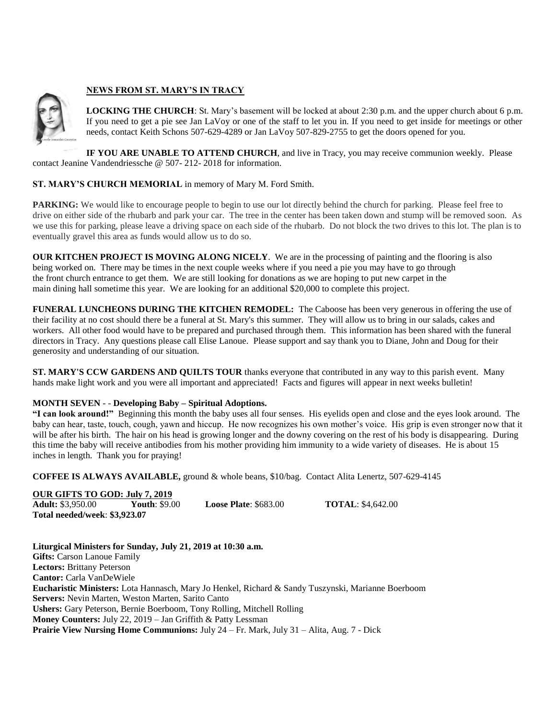

## **NEWS FROM ST. MARY'S IN TRACY**

**LOCKING THE CHURCH**: St. Mary's basement will be locked at about 2:30 p.m. and the upper church about 6 p.m. If you need to get a pie see Jan LaVoy or one of the staff to let you in. If you need to get inside for meetings or other needs, contact Keith Schons 507-629-4289 or Jan LaVoy 507-829-2755 to get the doors opened for you.

**IF YOU ARE UNABLE TO ATTEND CHURCH**, and live in Tracy, you may receive communion weekly. Please contact Jeanine Vandendriessche @ 507- 212- 2018 for information.

### **ST. MARY'S CHURCH MEMORIAL** in memory of Mary M. Ford Smith.

**PARKING:** We would like to encourage people to begin to use our lot directly behind the church for parking. Please feel free to drive on either side of the rhubarb and park your car. The tree in the center has been taken down and stump will be removed soon. As we use this for parking, please leave a driving space on each side of the rhubarb. Do not block the two drives to this lot. The plan is to eventually gravel this area as funds would allow us to do so.

**OUR KITCHEN PROJECT IS MOVING ALONG NICELY**. We are in the processing of painting and the flooring is also being worked on. There may be times in the next couple weeks where if you need a pie you may have to go through the front church entrance to get them. We are still looking for donations as we are hoping to put new carpet in the main dining hall sometime this year. We are looking for an additional \$20,000 to complete this project.

**FUNERAL LUNCHEONS DURING THE KITCHEN REMODEL:** The Caboose has been very generous in offering the use of their facility at no cost should there be a funeral at St. Mary's this summer. They will allow us to bring in our salads, cakes and workers. All other food would have to be prepared and purchased through them. This information has been shared with the funeral directors in Tracy. Any questions please call Elise Lanoue. Please support and say thank you to Diane, John and Doug for their generosity and understanding of our situation.

**ST. MARY'S CCW GARDENS AND QUILTS TOUR** thanks everyone that contributed in any way to this parish event. Many hands make light work and you were all important and appreciated! Facts and figures will appear in next weeks bulletin!

### **MONTH SEVEN** - - **Developing Baby – Spiritual Adoptions.**

**"I can look around!"** Beginning this month the baby uses all four senses. His eyelids open and close and the eyes look around. The baby can hear, taste, touch, cough, yawn and hiccup. He now recognizes his own mother's voice. His grip is even stronger now that it will be after his birth. The hair on his head is growing longer and the downy covering on the rest of his body is disappearing. During this time the baby will receive antibodies from his mother providing him immunity to a wide variety of diseases. He is about 15 inches in length. Thank you for praying!

**COFFEE IS ALWAYS AVAILABLE,** ground & whole beans, \$10/bag. Contact Alita Lenertz, 507-629-4145

#### **OUR GIFTS TO GOD: July 7, 2019**<br>**Adult:** \$3,950.00 **Youth**: \$9.00 **Adult:** \$3,950.00 **Youth**: \$9.00 **Loose Plate**: \$683.00 **TOTAL**: \$4,642.00 **Total needed/week**: **\$3,923.07**

**Liturgical Ministers for Sunday, July 21, 2019 at 10:30 a.m. Gifts:** Carson Lanoue Family **Lectors:** Brittany Peterson **Cantor:** Carla VanDeWiele **Eucharistic Ministers:** Lota Hannasch, Mary Jo Henkel, Richard & Sandy Tuszynski, Marianne Boerboom **Servers:** Nevin Marten, Weston Marten, Sarito Canto **Ushers:** Gary Peterson, Bernie Boerboom, Tony Rolling, Mitchell Rolling **Money Counters:** July 22, 2019 – Jan Griffith & Patty Lessman **Prairie View Nursing Home Communions:** July 24 – Fr. Mark, July 31 – Alita, Aug. 7 - Dick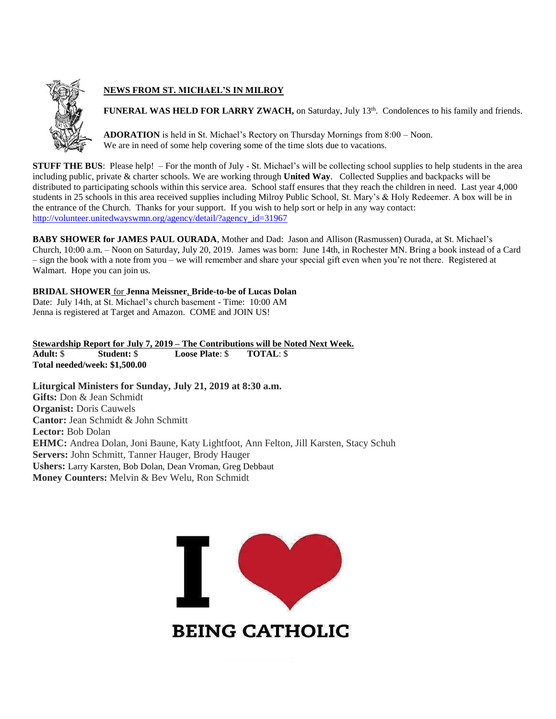

# **NEWS FROM ST. MICHAEL'S IN MILROY**

FUNERAL WAS HELD FOR LARRY ZWACH, on Saturday, July 13<sup>th</sup>. Condolences to his family and friends.

**ADORATION** is held in St. Michael's Rectory on Thursday Mornings from 8:00 – Noon. We are in need of some help covering some of the time slots due to vacations.

**STUFF THE BUS:** Please help! – For the month of July - St. Michael's will be collecting school supplies to help students in the area including public, private & charter schools. We are working through **United Way**. Collected Supplies and backpacks will be distributed to participating schools within this service area. School staff ensures that they reach the children in need. Last year 4,000 students in 25 schools in this area received supplies including Milroy Public School, St. Mary's & Holy Redeemer. A box will be in the entrance of the Church. Thanks for your support. If you wish to help sort or help in any way contact: [http://volunteer.unitedwayswmn.org/agency/detail/?agency\\_id=31967](http://volunteer.unitedwayswmn.org/agency/detail/?agency_id=31967)

**BABY SHOWER for JAMES PAUL OURADA**, Mother and Dad: Jason and Allison (Rasmussen) Ourada, at St. Michael's Church, 10:00 a.m. – Noon on Saturday, July 20, 2019. James was born: June 14th, in Rochester MN. Bring a book instead of a Card – sign the book with a note from you – we will remember and share your special gift even when you're not there. Registered at Walmart. Hope you can join us.

**BRIDAL SHOWER** for **Jenna Meissner**, **Bride-to-be of Lucas Dolan** Date: July 14th, at St. Michael's church basement - Time: 10:00 AM Jenna is registered at Target and Amazon. COME and JOIN US!

**Stewardship Report for July 7, 2019 – The Contributions will be Noted Next Week. Adult:** \$ **Student:** \$ **Loose Plate**: \$ **TOTAL**: \$ **Total needed/week: \$1,500.00**

**Liturgical Ministers for Sunday, July 21, 2019 at 8:30 a.m. Gifts:** Don & Jean Schmidt **Organist:** Doris Cauwels **Cantor:** Jean Schmidt & John Schmitt **Lector:** Bob Dolan **EHMC:** Andrea Dolan, Joni Baune, Katy Lightfoot, Ann Felton, Jill Karsten, Stacy Schuh **Servers:** John Schmitt, Tanner Hauger, Brody Hauger **Ushers:** Larry Karsten, Bob Dolan, Dean Vroman, Greg Debbaut **Money Counters:** Melvin & Bev Welu, Ron Schmidt